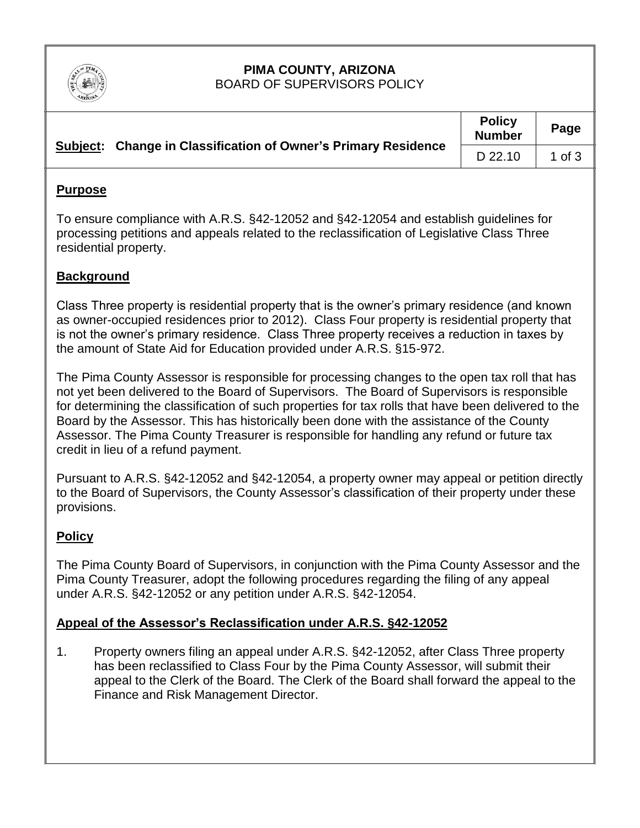

#### **PIMA COUNTY, ARIZONA** BOARD OF SUPERVISORS POLICY

|  | Subject: Change in Classification of Owner's Primary Residence | <b>Policy</b><br><b>Number</b> | Page     |
|--|----------------------------------------------------------------|--------------------------------|----------|
|  |                                                                | D 22.10                        | 1 of $3$ |

## **Purpose**

To ensure compliance with A.R.S. §42-12052 and §42-12054 and establish guidelines for processing petitions and appeals related to the reclassification of Legislative Class Three residential property.

# **Background**

Class Three property is residential property that is the owner's primary residence (and known as owner-occupied residences prior to 2012). Class Four property is residential property that is not the owner's primary residence. Class Three property receives a reduction in taxes by the amount of State Aid for Education provided under A.R.S. §15-972.

The Pima County Assessor is responsible for processing changes to the open tax roll that has not yet been delivered to the Board of Supervisors. The Board of Supervisors is responsible for determining the classification of such properties for tax rolls that have been delivered to the Board by the Assessor. This has historically been done with the assistance of the County Assessor. The Pima County Treasurer is responsible for handling any refund or future tax credit in lieu of a refund payment.

Pursuant to A.R.S. §42-12052 and §42-12054, a property owner may appeal or petition directly to the Board of Supervisors, the County Assessor's classification of their property under these provisions.

## **Policy**

The Pima County Board of Supervisors, in conjunction with the Pima County Assessor and the Pima County Treasurer, adopt the following procedures regarding the filing of any appeal under A.R.S. §42-12052 or any petition under A.R.S. §42-12054.

## **Appeal of the Assessor's Reclassification under A.R.S. §42-12052**

1. Property owners filing an appeal under A.R.S. §42-12052, after Class Three property has been reclassified to Class Four by the Pima County Assessor, will submit their appeal to the Clerk of the Board. The Clerk of the Board shall forward the appeal to the Finance and Risk Management Director.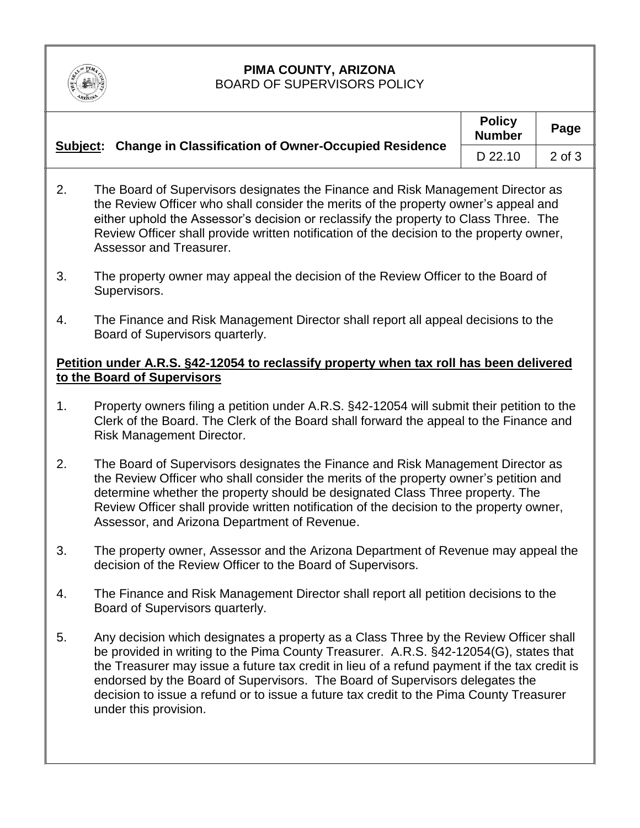

#### **PIMA COUNTY, ARIZONA** BOARD OF SUPERVISORS POLICY

|  | Subject: Change in Classification of Owner-Occupied Residence | <b>Policy</b><br><b>Number</b> | Page   |
|--|---------------------------------------------------------------|--------------------------------|--------|
|  |                                                               | D 22.10                        | 2 of 3 |

- 2. The Board of Supervisors designates the Finance and Risk Management Director as the Review Officer who shall consider the merits of the property owner's appeal and either uphold the Assessor's decision or reclassify the property to Class Three. The Review Officer shall provide written notification of the decision to the property owner, Assessor and Treasurer.
- 3. The property owner may appeal the decision of the Review Officer to the Board of Supervisors.
- 4. The Finance and Risk Management Director shall report all appeal decisions to the Board of Supervisors quarterly.

# **Petition under A.R.S. §42-12054 to reclassify property when tax roll has been delivered to the Board of Supervisors**

- 1. Property owners filing a petition under A.R.S. §42-12054 will submit their petition to the Clerk of the Board. The Clerk of the Board shall forward the appeal to the Finance and Risk Management Director.
- 2. The Board of Supervisors designates the Finance and Risk Management Director as the Review Officer who shall consider the merits of the property owner's petition and determine whether the property should be designated Class Three property. The Review Officer shall provide written notification of the decision to the property owner, Assessor, and Arizona Department of Revenue.
- 3. The property owner, Assessor and the Arizona Department of Revenue may appeal the decision of the Review Officer to the Board of Supervisors.
- 4. The Finance and Risk Management Director shall report all petition decisions to the Board of Supervisors quarterly.
- 5. Any decision which designates a property as a Class Three by the Review Officer shall be provided in writing to the Pima County Treasurer. A.R.S. §42-12054(G), states that the Treasurer may issue a future tax credit in lieu of a refund payment if the tax credit is endorsed by the Board of Supervisors. The Board of Supervisors delegates the decision to issue a refund or to issue a future tax credit to the Pima County Treasurer under this provision.